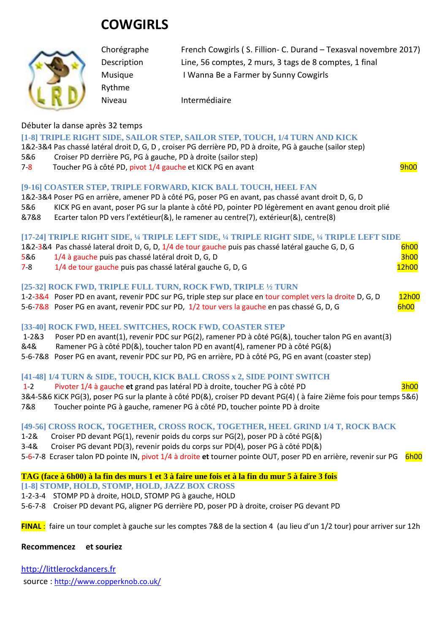# **COWGIRLS**

Rythme



Chorégraphe French Cowgirls ( S. Fillion- C. Durand – Texasval novembre 2017) Description Line, 56 comptes, 2 murs, 3 tags de 8 comptes, 1 final Musique I Wanna Be a Farmer by Sunny Cowgirls

Niveau Intermédiaire

## Débuter la danse après 32 temps

#### **[1-8] TRIPLE RIGHT SIDE, SAILOR STEP, SAILOR STEP, TOUCH, 1/4 TURN AND KICK**

1&2-3&4 Pas chassé latéral droit D, G, D , croiser PG derrière PD, PD à droite, PG à gauche (sailor step)

- 5&6 Croiser PD derrière PG, PG à gauche, PD à droite (sailor step)
- 7-8 Toucher PG à côté PD, pivot 1/4 gauche et KICK PG en avant 9h00 9h00

#### **[9-16] COASTER STEP, TRIPLE FORWARD, KICK BALL TOUCH, HEEL FAN**

- 1&2-3&4 Poser PG en arrière, amener PD à côté PG, poser PG en avant, pas chassé avant droit D, G, D
- 5&6 KICK PG en avant, poser PG sur la plante à côté PD, pointer PD légèrement en avant genou droit plié
- &7&8 Ecarter talon PD vers l'extétieur(&), le ramener au centre(7), extérieur(&), centre(8)

#### **[17-24] TRIPLE RIGHT SIDE, ¼ TRIPLE LEFT SIDE, ¼ TRIPLE RIGHT SIDE, ¼ TRIPLE LEFT SIDE**

|         | 1&2-3&4 Pas chassé lateral droit D, G, D, 1/4 de tour gauche puis pas chassé latéral gauche G, D, G | <b>6h00</b> |
|---------|-----------------------------------------------------------------------------------------------------|-------------|
| 5&6     | 1/4 à gauche puis pas chassé latéral droit D, G, D                                                  | <b>3h00</b> |
| $7 - 8$ | 1/4 de tour gauche puis pas chassé latéral gauche G, D, G                                           | 12h00       |

#### **[25-32] ROCK FWD, TRIPLE FULL TURN, ROCK FWD, TRIPLE ½ TURN**

| 1-2-3&4 Poser PD en avant, revenir PDC sur PG, triple step sur place en tour complet vers la droite D, G, D | 12h00 |  |
|-------------------------------------------------------------------------------------------------------------|-------|--|
| 5-6-7&8 Poser PG en avant, revenir PDC sur PD, 1/2 tour vers la gauche en pas chassé G, D, G                | 6h00  |  |

## **[33-40] ROCK FWD, HEEL SWITCHES, ROCK FWD, COASTER STEP**

1-2&3 Poser PD en avant(1), revenir PDC sur PG(2), ramener PD à côté PG(&), toucher talon PG en avant(3)

- &4& Ramener PG à côté PD(&), toucher talon PD en avant(4), ramener PD à côté PG(&)
- 5-6-7&8 Poser PG en avant, revenir PDC sur PD, PG en arrière, PD à côté PG, PG en avant (coaster step)

## **[41-48] 1/4 TURN & SIDE, TOUCH, KICK BALL CROSS x 2, SIDE POINT SWITCH**

1-2 Pivoter 1/4 à gauche et grand pas latéral PD à droite, toucher PG à côté PD 3&4-5&6 KiCK PG(3), poser PG sur la plante à côté PD(&), croiser PD devant PG(4) ( à faire 2ième fois pour temps 5&6) 7&8 Toucher pointe PG à gauche, ramener PG à côté PD, toucher pointe PD à droite

## **[49-56] CROSS ROCK, TOGETHER, CROSS ROCK, TOGETHER, HEEL GRIND 1/4 T, ROCK BACK**

- 1-2& Croiser PD devant PG(1), revenir poids du corps sur PG(2), poser PD à côté PG(&)
- 3-4& Croiser PG devant PD(3), revenir poids du corps sur PD(4), poser PG à côté PD(&)

5-6-7-8 Ecraser talon PD pointe IN, pivot 1/4 à droite et tourner pointe OUT, poser PD en arrière, revenir sur PG 6h00

#### **TAG (face à 6h00) à la fin des murs 1 et 3 à faire une fois et à la fin du mur 5 à faire 3 fois**

- **[1-8] STOMP, HOLD, STOMP, HOLD, JAZZ BOX CROSS**
- 1-2-3-4 STOMP PD à droite, HOLD, STOMP PG à gauche, HOLD
- 5-6-7-8 Croiser PD devant PG, aligner PG derrière PD, poser PD à droite, croiser PG devant PD

**FINAL** : faire un tour complet à gauche sur les comptes 7&8 de la section 4 (au lieu d'un 1/2 tour) pour arriver sur 12h

#### **Recommencez et souriez**

[http://littlerockdancers.fr](http://littlerockdancers.fr/)  source : [http://www.copperknob.co.uk/](https://www.copperknob.co.uk/)